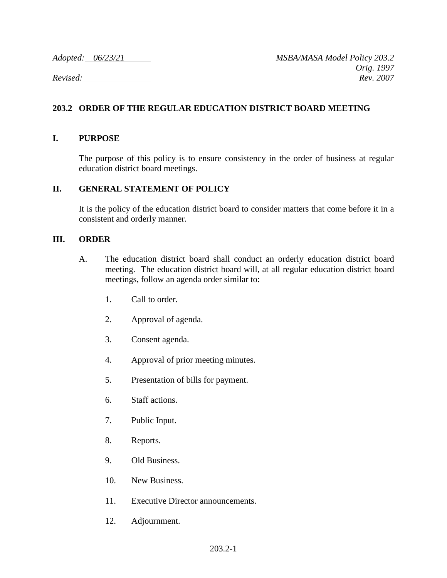## **203.2 ORDER OF THE REGULAR EDUCATION DISTRICT BOARD MEETING**

## **I. PURPOSE**

The purpose of this policy is to ensure consistency in the order of business at regular education district board meetings.

## **II. GENERAL STATEMENT OF POLICY**

It is the policy of the education district board to consider matters that come before it in a consistent and orderly manner.

## **III. ORDER**

- A. The education district board shall conduct an orderly education district board meeting. The education district board will, at all regular education district board meetings, follow an agenda order similar to:
	- 1. Call to order.
	- 2. Approval of agenda.
	- 3. Consent agenda.
	- 4. Approval of prior meeting minutes.
	- 5. Presentation of bills for payment.
	- 6. Staff actions.
	- 7. Public Input.
	- 8. Reports.
	- 9. Old Business.
	- 10. New Business.
	- 11. Executive Director announcements.
	- 12. Adjournment.